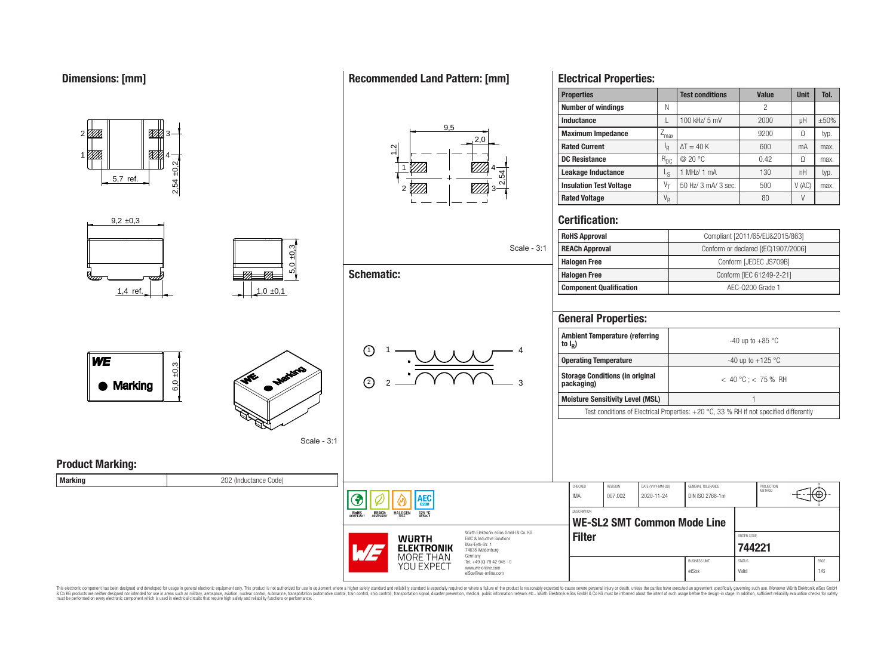1

777.

#### $9<sub>5</sub>$ <u>87%</u>  $2<sub>0</sub>$ **Rated Current** I  $\sim$ ▨ 4 2,54 ±0,2 1 4 **Leakage Inductance** L 2,54 5,7 ref. 2 *V//A* 3 **Certification:**  $9.2 \pm 0.3$  $5,0 \pm 0,3$ Scale - 3:1 **Schematic:**  $\overline{77}$  $\overline{\sigma}$ 1,4 ref.  $\begin{array}{|c|c|c|c|c|c|}\n\hline\n1,0 & \pm 0.1\n\end{array}$ **General Properties: Ambient Temperature (referring to I<sup>R</sup> )** 1)  $1 - 1$   $1 - 4$ 1  $6,0,0.3$ **Storage Conditions (in original** ৲\*\*  $\binom{2}{2}$ **Marking** 2 3 Scale - 3:1

**Product Marking:**

**WE** 

**Marking** 202 (Inductance Code)



This electronic component has been designed and developed for usage in general electronic equipment only. This product is not authorized for subserved requipment where a higher selection equipment where a higher selection

# **Recommended Land Pattern: [mm]**

# **Electrical Properties:**

| <b>Properties</b>              |          | <b>Test conditions</b> | Value | Unit  | Tol.       |
|--------------------------------|----------|------------------------|-------|-------|------------|
| <b>Number of windings</b>      | Ν        |                        | 2     |       |            |
| <b>Inductance</b>              |          | 100 kHz/ 5 mV          | 2000  | μH    | $\pm 50\%$ |
| <b>Maximum Impedance</b>       | -max     |                        | 9200  | Ω     | typ.       |
| <b>Rated Current</b>           | ΙŖ       | $\Delta T = 40 K$      | 600   | mA    | max.       |
| <b>DC Resistance</b>           | $R_{DC}$ | @ 20 °C                | 0.42  | Ω     | max.       |
| Leakage Inductance             | Lς       | MHz/ 1 mA              | 130   | nH    | typ.       |
| <b>Insulation Test Voltage</b> | V–       | 50 Hz/ 3 mA/ 3 sec.    | 500   | V(AC) | max.       |
| <b>Rated Voltage</b>           | $V_R$    |                        | 80    |       |            |
|                                |          |                        |       |       |            |

| <b>RoHS Approval</b>           | Compliant [2011/65/EU&2015/863]     |
|--------------------------------|-------------------------------------|
| <b>REACh Approval</b>          | Conform or declared [(EC)1907/2006] |
| <b>Halogen Free</b>            | Conform [JEDEC JS709B]              |
| <b>Halogen Free</b>            | Conform [IEC 61249-2-21]            |
| <b>Component Qualification</b> | AEC-Q200 Grade 1                    |

| <b>Ambient Temperature (referring</b><br>to $I_{\rm p}$ )                                | $-40$ up to $+85$ °C    |  |  |  |  |
|------------------------------------------------------------------------------------------|-------------------------|--|--|--|--|
| <b>Operating Temperature</b>                                                             | -40 up to $+125$ °C     |  |  |  |  |
| <b>Storage Conditions (in original</b><br>packaging)                                     | $<$ 40 °C : $<$ 75 % RH |  |  |  |  |
| <b>Moisture Sensitivity Level (MSL)</b>                                                  |                         |  |  |  |  |
| Test conditions of Electrical Properties: $+20$ °C, 33 % RH if not specified differently |                         |  |  |  |  |

PROJECTION<br>METHOD

(⊕

**[744221](https://www.we-online.com/catalog/en/article/744221)** BUSINESS UNIT STATUS STATUS eiSos Valid 1/6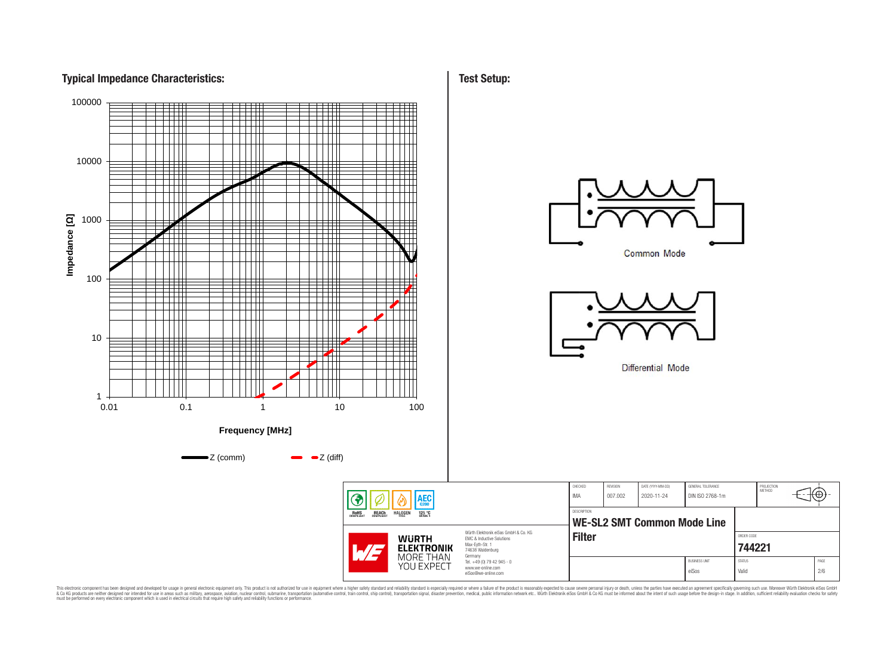



This electronic component has been designed and developed for usage in general electronic equipment only. This product is not authorized for subserved requipment where a higher selection equipment where a higher selection

**Test Setup:**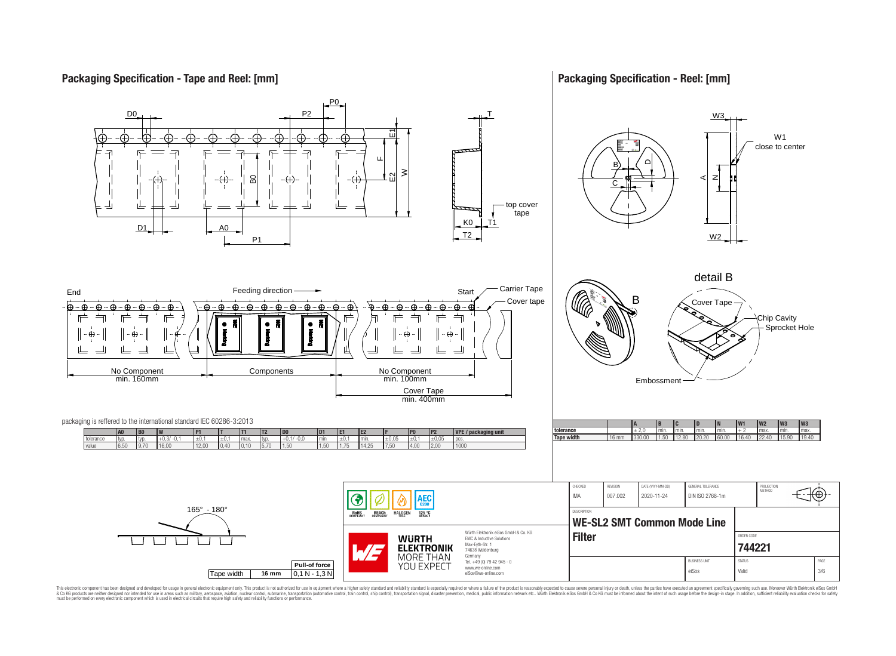# **Packaging Specification - Tape and Reel: [mm]**

# **Packaging Specification - Reel: [mm]**



This electronic component has been designed and developed for usage in general electronic equipment only. This product is not authorized for subserved requipment where a higher selection equipment where a higher selection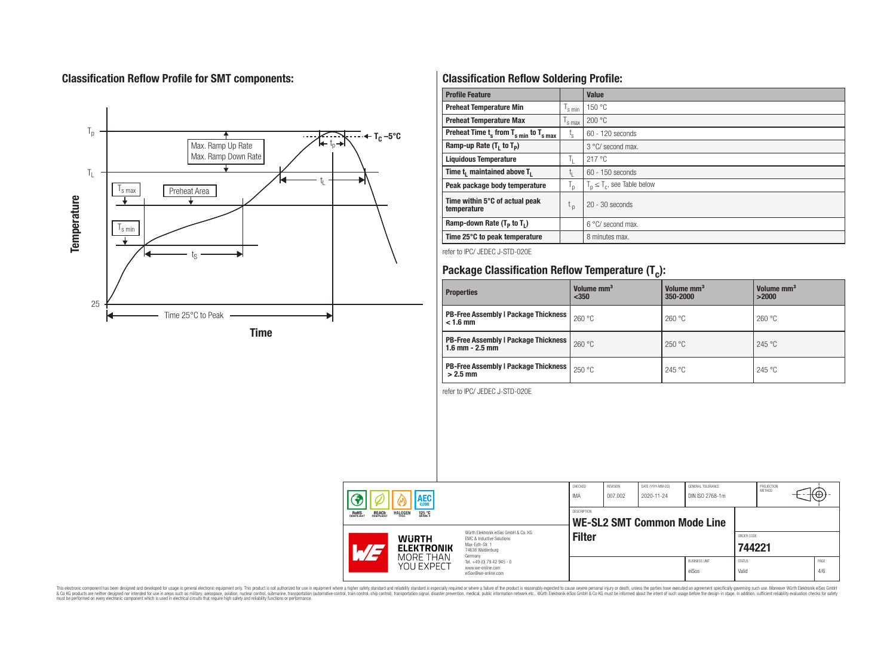# **Classification Reflow Profile for SMT components:**



# **Classification Reflow Soldering Profile:**

| <b>Profile Feature</b>                              |                    | <b>Value</b>                     |
|-----------------------------------------------------|--------------------|----------------------------------|
| <b>Preheat Temperature Min</b>                      | 's min             | 150 °C                           |
| <b>Preheat Temperature Max</b>                      | <sup>I</sup> s max | 200 °C                           |
| Preheat Time $t_s$ from $T_{s min}$ to $T_{s max}$  | t,                 | 60 - 120 seconds                 |
| Ramp-up Rate $(T_1$ to $T_p)$                       |                    | 3 °C/ second max.                |
| <b>Liquidous Temperature</b>                        | T <sub>L</sub>     | 217 °C                           |
| Time t <sub>i</sub> maintained above T <sub>1</sub> | t,                 | $60 - 150$ seconds               |
| Peak package body temperature                       | ' p                | $T_p \leq T_c$ , see Table below |
| Time within 5°C of actual peak<br>temperature       | t <sub>p</sub>     | $20 - 30$ seconds                |
| Ramp-down Rate $(T_p$ to $T_1$ )                    |                    | 6 °C/ second max.                |
| Time 25°C to peak temperature                       |                    | 8 minutes max.                   |

refer to IPC/ JEDEC J-STD-020E

# **Package Classification Reflow Temperature (T<sup>c</sup> ):**

| <b>Properties</b>                                                    | Volume mm <sup>3</sup><br>< 350 | Volume mm <sup>3</sup><br>350-2000 | Volume mm <sup>3</sup><br>>2000 |
|----------------------------------------------------------------------|---------------------------------|------------------------------------|---------------------------------|
| <b>PB-Free Assembly   Package Thickness  </b><br>$< 1.6$ mm          | 260 °C                          | 260 °C                             | 260 °C                          |
| <b>PB-Free Assembly   Package Thickness  </b><br>$1.6$ mm $- 2.5$ mm | 260 °C                          | 250 °C                             | 245 °C                          |
| <b>PB-Free Assembly   Package Thickness  </b><br>$>2.5$ mm           | 250 °C                          | 245 °C                             | 245 °C                          |

refer to IPC/ JEDEC J-STD-020E

|                                                       | <b>AEC</b>                          |                                                                                                                     | CHECKED<br>IMA     | REVISION<br>007.002 | DATE (YYYY-MM-DD)<br>2020-11-24    | GENERAL TOLERANCE<br>DIN ISO 2768-1m |                        | PROJECTION<br>METHOD | ťΨ          |
|-------------------------------------------------------|-------------------------------------|---------------------------------------------------------------------------------------------------------------------|--------------------|---------------------|------------------------------------|--------------------------------------|------------------------|----------------------|-------------|
| <b>REACH</b><br>COMPLIANT<br><b>ROHS</b><br>COMPLIANT | <b>HALOGEN</b><br>125 °C<br>GRADE 1 |                                                                                                                     | <b>DESCRIPTION</b> |                     | <b>WE-SL2 SMT Common Mode Line</b> |                                      |                        |                      |             |
|                                                       | <b>WURTH</b><br><b>ELEKTRONIK</b>   | Würth Flektronik eiSos GmbH & Co. KG<br>EMC & Inductive Solutions<br>Max-Eyth-Str. 1<br>74638 Waldenburg<br>Germany | <b>Filter</b>      |                     |                                    |                                      | ORDER CODE<br>744221   |                      |             |
|                                                       | MORE THAN<br>YOU EXPECT             | Tel. +49 (0) 79 42 945 - 0<br>www.we-online.com<br>eiSos@we-online.com                                              |                    |                     |                                    | <b>BUSINESS UNIT</b><br>eiSos        | <b>STATUS</b><br>Valid |                      | PAGE<br>4/6 |

This electronic component has been designed and developed for usage in general electronic equipment only. This product is not authorized for subserved requipment where a higher selection equipment where a higher selection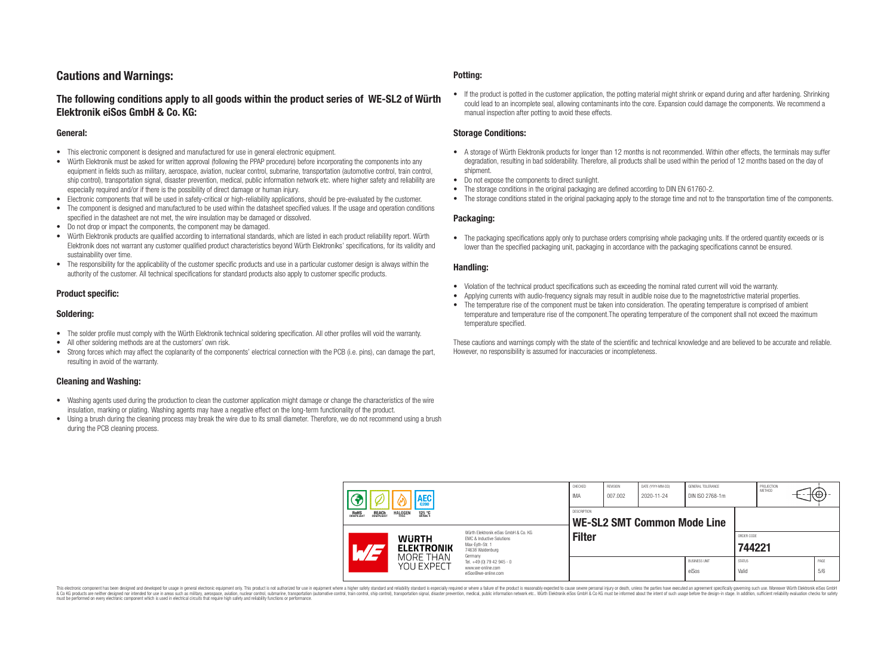# **Cautions and Warnings:**

# **The following conditions apply to all goods within the product series of WE-SL2 of Würth Elektronik eiSos GmbH & Co. KG:**

#### **General:**

- This electronic component is designed and manufactured for use in general electronic equipment.
- Würth Elektronik must be asked for written approval (following the PPAP procedure) before incorporating the components into any equipment in fields such as military, aerospace, aviation, nuclear control, submarine, transportation (automotive control, train control, ship control), transportation signal, disaster prevention, medical, public information network etc. where higher safety and reliability are especially required and/or if there is the possibility of direct damage or human injury.
- Electronic components that will be used in safety-critical or high-reliability applications, should be pre-evaluated by the customer.
- The component is designed and manufactured to be used within the datasheet specified values. If the usage and operation conditions specified in the datasheet are not met, the wire insulation may be damaged or dissolved.
- Do not drop or impact the components, the component may be damaged.
- Würth Elektronik products are qualified according to international standards, which are listed in each product reliability report. Würth Elektronik does not warrant any customer qualified product characteristics beyond Würth Elektroniks' specifications, for its validity and sustainability over time.
- The responsibility for the applicability of the customer specific products and use in a particular customer design is always within the authority of the customer. All technical specifications for standard products also apply to customer specific products.

#### **Product specific:**

#### **Soldering:**

- The solder profile must comply with the Würth Elektronik technical soldering specification. All other profiles will void the warranty.
- All other soldering methods are at the customers' own risk.
- Strong forces which may affect the coplanarity of the components' electrical connection with the PCB (i.e. pins), can damage the part, resulting in avoid of the warranty.

#### **Cleaning and Washing:**

- Washing agents used during the production to clean the customer application might damage or change the characteristics of the wire insulation, marking or plating. Washing agents may have a negative effect on the long-term functionality of the product.
- Using a brush during the cleaning process may break the wire due to its small diameter. Therefore, we do not recommend using a brush during the PCB cleaning process.

#### **Potting:**

• If the product is potted in the customer application, the potting material might shrink or expand during and after hardening. Shrinking could lead to an incomplete seal, allowing contaminants into the core. Expansion could damage the components. We recommend a manual inspection after potting to avoid these effects.

#### **Storage Conditions:**

- A storage of Würth Elektronik products for longer than 12 months is not recommended. Within other effects, the terminals may suffer degradation, resulting in bad solderability. Therefore, all products shall be used within the period of 12 months based on the day of shipment.
- Do not expose the components to direct sunlight.
- The storage conditions in the original packaging are defined according to DIN EN 61760-2.
- The storage conditions stated in the original packaging apply to the storage time and not to the transportation time of the components.

#### **Packaging:**

• The packaging specifications apply only to purchase orders comprising whole packaging units. If the ordered quantity exceeds or is lower than the specified packaging unit, packaging in accordance with the packaging specifications cannot be ensured.

#### **Handling:**

- Violation of the technical product specifications such as exceeding the nominal rated current will void the warranty.
- Applying currents with audio-frequency signals may result in audible noise due to the magnetostrictive material properties.
- The temperature rise of the component must be taken into consideration. The operating temperature is comprised of ambient temperature and temperature rise of the component.The operating temperature of the component shall not exceed the maximum temperature specified.

These cautions and warnings comply with the state of the scientific and technical knowledge and are believed to be accurate and reliable. However, no responsibility is assumed for inaccuracies or incompleteness.

|                                                       | <b>AEC</b>                          |                                                                             | CHECKED<br>IMA     | REVISION<br>007.002 | DATE (YYYY-MM-DD)<br>2020-11-24    | GENERAL TOLERANCE<br>DIN ISO 2768-1m |                        | PROJECTION<br>METHOD | $\mathcal{H} \oplus \mathcal{H}$ |             |
|-------------------------------------------------------|-------------------------------------|-----------------------------------------------------------------------------|--------------------|---------------------|------------------------------------|--------------------------------------|------------------------|----------------------|----------------------------------|-------------|
| <b>ROHS</b><br>COMPLIANT<br><b>REACH</b><br>COMPLIANT | <b>HALOGEN</b><br>125 °C<br>GRADE 1 | Würth Elektronik eiSos GmbH & Co. KG                                        | <b>DESCRIPTION</b> |                     | <b>WE-SL2 SMT Common Mode Line</b> |                                      |                        |                      |                                  |             |
| <b>WURTH</b><br><b>ELEKTRONIK</b>                     |                                     | EMC & Inductive Solutions<br>Max-Eyth-Str. 1<br>74638 Waldenburg<br>Germany | <b>Filter</b>      |                     |                                    |                                      | ORDER CODE<br>744221   |                      |                                  |             |
|                                                       | MORE THAN<br>YOU EXPECT             | Tel. +49 (0) 79 42 945 - 0<br>www.we-online.com<br>eiSos@we-online.com      |                    |                     |                                    | <b>BUSINESS UNIT</b><br>eiSos        | <b>STATUS</b><br>Valid |                      |                                  | PAGE<br>5/6 |

This electronic component has been designed and developed for usage in general electronic equipment only. This product is not authorized for use in equipment where a higher safety standard and reliability standard si espec & Ook product a label and the membed of the seasuch as marked and as which such a membed and the such assume that income in the seasuch and the simulation and the such assume that include to the such a membed and the such